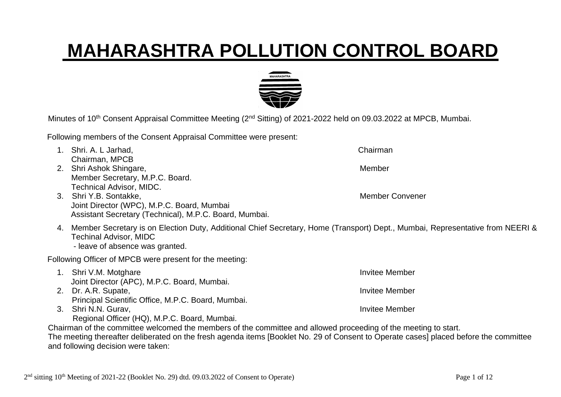## **MAHARASHTRA POLLUTION CONTROL BOARD**

Minutes of 10<sup>th</sup> Consent Appraisal Committee Meeting (2<sup>nd</sup> Sitting) of 2021-2022 held on 09.03.2022 at MPCB, Mumbai.

Following members of the Consent Appraisal Committee were present:

- 1. Shri. A. L Jarhad, Chairman Chairman, MPCB 2. Shri Ashok Shingare, Management and Shingare, Member Member Secretary, M.P.C. Board. Technical Advisor, MIDC. 3. Shri Y.B. Sontakke, Member Convener Joint Director (WPC), M.P.C. Board, Mumbai Assistant Secretary (Technical), M.P.C. Board, Mumbai. 4. Member Secretary is on Election Duty, Additional Chief Secretary, Home (Transport) Dept., Mumbai, Representative from NEERI & Techinal Advisor, MIDC - leave of absence was granted. Following Officer of MPCB were present for the meeting: 1. Shri V.M. Motghare Invitee Member Joint Director (APC), M.P.C. Board, Mumbai. 2. Dr. A.R. Supate, Invitee Member
	- Principal Scientific Office, M.P.C. Board, Mumbai.
	- 3. Shri N.N. Gurav, Invitee Member Regional Officer (HQ), M.P.C. Board, Mumbai.

Chairman of the committee welcomed the members of the committee and allowed proceeding of the meeting to start.

The meeting thereafter deliberated on the fresh agenda items [Booklet No. 29 of Consent to Operate cases] placed before the committee and following decision were taken:

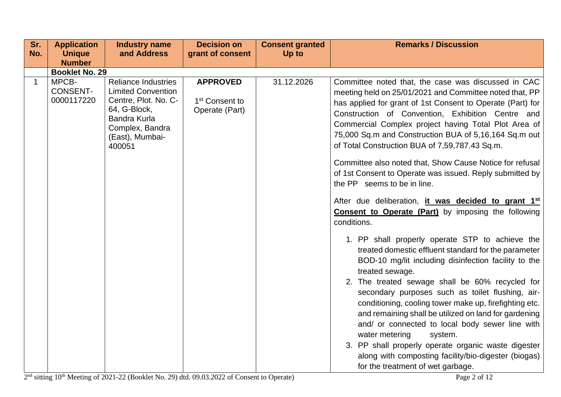| Sr.         | <b>Application</b>                     | <b>Industry name</b>                                                                                                                                                   | <b>Decision on</b>                                              | <b>Consent granted</b> | <b>Remarks / Discussion</b>                                                                                                                                                                                                                                                                                                                                                                                                                                                                                                                                                                                                                                                                                                                                                                                                                                                                                                                                                                                                                                                                                                                                                                                                                                                                                                                                     |
|-------------|----------------------------------------|------------------------------------------------------------------------------------------------------------------------------------------------------------------------|-----------------------------------------------------------------|------------------------|-----------------------------------------------------------------------------------------------------------------------------------------------------------------------------------------------------------------------------------------------------------------------------------------------------------------------------------------------------------------------------------------------------------------------------------------------------------------------------------------------------------------------------------------------------------------------------------------------------------------------------------------------------------------------------------------------------------------------------------------------------------------------------------------------------------------------------------------------------------------------------------------------------------------------------------------------------------------------------------------------------------------------------------------------------------------------------------------------------------------------------------------------------------------------------------------------------------------------------------------------------------------------------------------------------------------------------------------------------------------|
| No.         | <b>Unique</b><br><b>Number</b>         | and Address                                                                                                                                                            | grant of consent                                                | Up to                  |                                                                                                                                                                                                                                                                                                                                                                                                                                                                                                                                                                                                                                                                                                                                                                                                                                                                                                                                                                                                                                                                                                                                                                                                                                                                                                                                                                 |
|             | <b>Booklet No. 29</b>                  |                                                                                                                                                                        |                                                                 |                        |                                                                                                                                                                                                                                                                                                                                                                                                                                                                                                                                                                                                                                                                                                                                                                                                                                                                                                                                                                                                                                                                                                                                                                                                                                                                                                                                                                 |
| $\mathbf 1$ | MPCB-<br><b>CONSENT-</b><br>0000117220 | <b>Reliance Industries</b><br><b>Limited Convention</b><br>Centre, Plot. No. C-<br>64, G-Block,<br><b>Bandra Kurla</b><br>Complex, Bandra<br>(East), Mumbai-<br>400051 | <b>APPROVED</b><br>1 <sup>st</sup> Consent to<br>Operate (Part) | 31.12.2026             | Committee noted that, the case was discussed in CAC<br>meeting held on 25/01/2021 and Committee noted that, PP<br>has applied for grant of 1st Consent to Operate (Part) for<br>Construction of Convention, Exhibition Centre and<br>Commercial Complex project having Total Plot Area of<br>75,000 Sq.m and Construction BUA of 5,16,164 Sq.m out<br>of Total Construction BUA of 7,59,787.43 Sq.m.<br>Committee also noted that, Show Cause Notice for refusal<br>of 1st Consent to Operate was issued. Reply submitted by<br>the PP seems to be in line.<br>After due deliberation, it was decided to grant 1 <sup>st</sup><br><b>Consent to Operate (Part)</b> by imposing the following<br>conditions.<br>1. PP shall properly operate STP to achieve the<br>treated domestic effluent standard for the parameter<br>BOD-10 mg/lit including disinfection facility to the<br>treated sewage.<br>2. The treated sewage shall be 60% recycled for<br>secondary purposes such as toilet flushing, air-<br>conditioning, cooling tower make up, firefighting etc.<br>and remaining shall be utilized on land for gardening<br>and/ or connected to local body sewer line with<br>water metering<br>system.<br>3. PP shall properly operate organic waste digester<br>along with composting facility/bio-digester (biogas)<br>for the treatment of wet garbage. |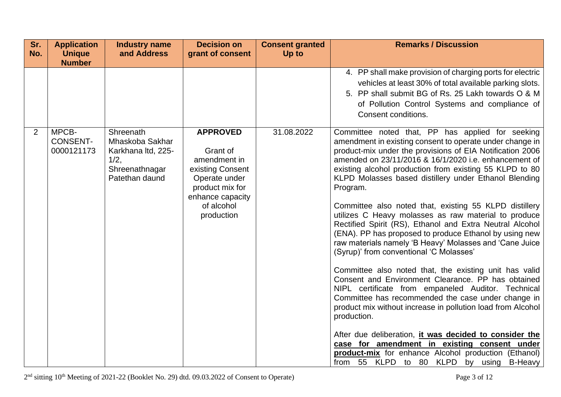| Sr.<br>No. | <b>Application</b><br><b>Unique</b><br><b>Number</b> | <b>Industry name</b><br>and Address                                                            | <b>Decision on</b><br>grant of consent                                                                                                              | <b>Consent granted</b><br>Up to | <b>Remarks / Discussion</b>                                                                                                                                                                                                                                                                                                                                                                                                                                                                                                                                                                                                                                                                                                                                                                                                                                                                                                                                                                                                                                                                                                                                                                                                                     |
|------------|------------------------------------------------------|------------------------------------------------------------------------------------------------|-----------------------------------------------------------------------------------------------------------------------------------------------------|---------------------------------|-------------------------------------------------------------------------------------------------------------------------------------------------------------------------------------------------------------------------------------------------------------------------------------------------------------------------------------------------------------------------------------------------------------------------------------------------------------------------------------------------------------------------------------------------------------------------------------------------------------------------------------------------------------------------------------------------------------------------------------------------------------------------------------------------------------------------------------------------------------------------------------------------------------------------------------------------------------------------------------------------------------------------------------------------------------------------------------------------------------------------------------------------------------------------------------------------------------------------------------------------|
|            |                                                      |                                                                                                |                                                                                                                                                     |                                 | 4. PP shall make provision of charging ports for electric<br>vehicles at least 30% of total available parking slots.<br>5. PP shall submit BG of Rs. 25 Lakh towards O & M<br>of Pollution Control Systems and compliance of<br>Consent conditions.                                                                                                                                                                                                                                                                                                                                                                                                                                                                                                                                                                                                                                                                                                                                                                                                                                                                                                                                                                                             |
| 2          | MPCB-<br><b>CONSENT-</b><br>0000121173               | Shreenath<br>Mhaskoba Sakhar<br>Karkhana Itd, 225-<br>1/2,<br>Shreenathnagar<br>Patethan daund | <b>APPROVED</b><br>Grant of<br>amendment in<br>existing Consent<br>Operate under<br>product mix for<br>enhance capacity<br>of alcohol<br>production | 31.08.2022                      | Committee noted that, PP has applied for seeking<br>amendment in existing consent to operate under change in<br>product-mix under the provisions of EIA Notification 2006<br>amended on 23/11/2016 & 16/1/2020 i.e. enhancement of<br>existing alcohol production from existing 55 KLPD to 80<br>KLPD Molasses based distillery under Ethanol Blending<br>Program.<br>Committee also noted that, existing 55 KLPD distillery<br>utilizes C Heavy molasses as raw material to produce<br>Rectified Spirit (RS), Ethanol and Extra Neutral Alcohol<br>(ENA). PP has proposed to produce Ethanol by using new<br>raw materials namely 'B Heavy' Molasses and 'Cane Juice<br>(Syrup)' from conventional 'C Molasses'<br>Committee also noted that, the existing unit has valid<br>Consent and Environment Clearance. PP has obtained<br>NIPL certificate from empaneled Auditor. Technical<br>Committee has recommended the case under change in<br>product mix without increase in pollution load from Alcohol<br>production.<br>After due deliberation, it was decided to consider the<br>case for amendment in existing consent under<br><b>product-mix</b> for enhance Alcohol production (Ethanol)<br>from 55 KLPD to 80 KLPD by using B-Heavy |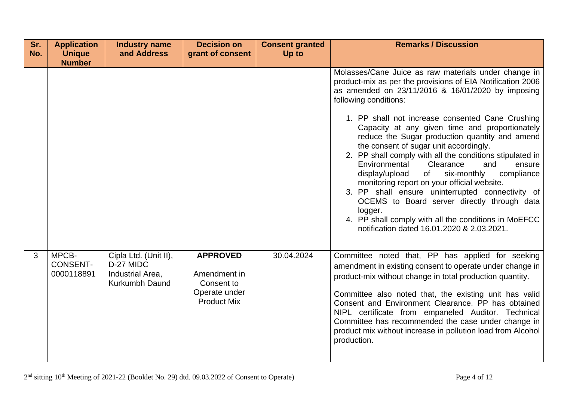| Sr.<br>No. | <b>Application</b><br><b>Unique</b><br><b>Number</b> | <b>Industry name</b><br>and Address                                      | <b>Decision on</b><br>grant of consent                                               | <b>Consent granted</b><br>Up to | <b>Remarks / Discussion</b>                                                                                                                                                                                                                                                                                                                                                                                                                                                                                                                                                                                                       |
|------------|------------------------------------------------------|--------------------------------------------------------------------------|--------------------------------------------------------------------------------------|---------------------------------|-----------------------------------------------------------------------------------------------------------------------------------------------------------------------------------------------------------------------------------------------------------------------------------------------------------------------------------------------------------------------------------------------------------------------------------------------------------------------------------------------------------------------------------------------------------------------------------------------------------------------------------|
|            |                                                      |                                                                          |                                                                                      |                                 | Molasses/Cane Juice as raw materials under change in<br>product-mix as per the provisions of EIA Notification 2006<br>as amended on 23/11/2016 & 16/01/2020 by imposing<br>following conditions:                                                                                                                                                                                                                                                                                                                                                                                                                                  |
|            |                                                      |                                                                          |                                                                                      |                                 | 1. PP shall not increase consented Cane Crushing<br>Capacity at any given time and proportionately<br>reduce the Sugar production quantity and amend<br>the consent of sugar unit accordingly.<br>2. PP shall comply with all the conditions stipulated in<br>Environmental<br>Clearance<br>and<br>ensure<br>six-monthly<br>compliance<br>display/upload<br>of<br>monitoring report on your official website.<br>3. PP shall ensure uninterrupted connectivity of<br>OCEMS to Board server directly through data<br>logger.<br>4. PP shall comply with all the conditions in MoEFCC<br>notification dated 16.01.2020 & 2.03.2021. |
| 3          | MPCB-<br><b>CONSENT-</b><br>0000118891               | Cipla Ltd. (Unit II),<br>D-27 MIDC<br>Industrial Area,<br>Kurkumbh Daund | <b>APPROVED</b><br>Amendment in<br>Consent to<br>Operate under<br><b>Product Mix</b> | 30.04.2024                      | Committee noted that, PP has applied for seeking<br>amendment in existing consent to operate under change in<br>product-mix without change in total production quantity.<br>Committee also noted that, the existing unit has valid<br>Consent and Environment Clearance. PP has obtained<br>NIPL certificate from empaneled Auditor. Technical<br>Committee has recommended the case under change in<br>product mix without increase in pollution load from Alcohol<br>production.                                                                                                                                                |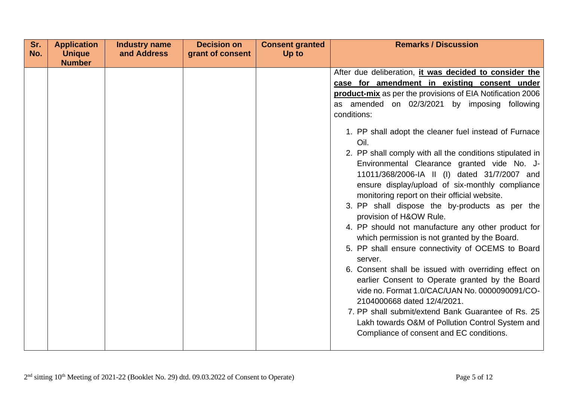| Sr.<br>No. | <b>Application</b><br><b>Unique</b> | <b>Industry name</b><br>and Address | <b>Decision on</b><br>grant of consent | <b>Consent granted</b><br>Up to | <b>Remarks / Discussion</b>                                                                                                                                                                                                                                                                                                                                                                                                                                                                                                                                                                                                                                                                                                                                                                                                                                                                                                                                                                                                                                                                                                   |
|------------|-------------------------------------|-------------------------------------|----------------------------------------|---------------------------------|-------------------------------------------------------------------------------------------------------------------------------------------------------------------------------------------------------------------------------------------------------------------------------------------------------------------------------------------------------------------------------------------------------------------------------------------------------------------------------------------------------------------------------------------------------------------------------------------------------------------------------------------------------------------------------------------------------------------------------------------------------------------------------------------------------------------------------------------------------------------------------------------------------------------------------------------------------------------------------------------------------------------------------------------------------------------------------------------------------------------------------|
|            | <b>Number</b>                       |                                     |                                        |                                 |                                                                                                                                                                                                                                                                                                                                                                                                                                                                                                                                                                                                                                                                                                                                                                                                                                                                                                                                                                                                                                                                                                                               |
|            |                                     |                                     |                                        |                                 | After due deliberation, it was decided to consider the<br>case for amendment in existing consent under<br>product-mix as per the provisions of EIA Notification 2006<br>as amended on 02/3/2021 by imposing following<br>conditions:<br>1. PP shall adopt the cleaner fuel instead of Furnace<br>Oil.<br>2. PP shall comply with all the conditions stipulated in<br>Environmental Clearance granted vide No. J-<br>11011/368/2006-IA II (I) dated 31/7/2007 and<br>ensure display/upload of six-monthly compliance<br>monitoring report on their official website.<br>3. PP shall dispose the by-products as per the<br>provision of H&OW Rule.<br>4. PP should not manufacture any other product for<br>which permission is not granted by the Board.<br>5. PP shall ensure connectivity of OCEMS to Board<br>server.<br>6. Consent shall be issued with overriding effect on<br>earlier Consent to Operate granted by the Board<br>vide no. Format 1.0/CAC/UAN No. 0000090091/CO-<br>2104000668 dated 12/4/2021.<br>7. PP shall submit/extend Bank Guarantee of Rs. 25<br>Lakh towards O&M of Pollution Control System and |
|            |                                     |                                     |                                        |                                 | Compliance of consent and EC conditions.                                                                                                                                                                                                                                                                                                                                                                                                                                                                                                                                                                                                                                                                                                                                                                                                                                                                                                                                                                                                                                                                                      |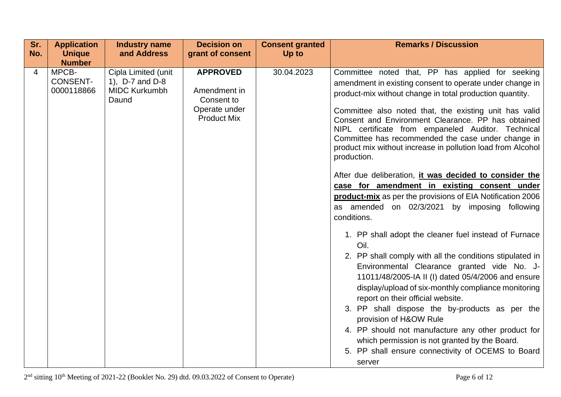| Sr. | <b>Application</b>                                      | <b>Industry name</b>                                                    | <b>Decision on</b>                                                                   | <b>Consent granted</b> | <b>Remarks / Discussion</b>                                                                                                                                                                                                                                                                                                                                                                                                                                                                                                                                                                                                                                                                                                                                                                                                                                                                                                                                                                                                                                                                                                                                                                                                                                                                                |
|-----|---------------------------------------------------------|-------------------------------------------------------------------------|--------------------------------------------------------------------------------------|------------------------|------------------------------------------------------------------------------------------------------------------------------------------------------------------------------------------------------------------------------------------------------------------------------------------------------------------------------------------------------------------------------------------------------------------------------------------------------------------------------------------------------------------------------------------------------------------------------------------------------------------------------------------------------------------------------------------------------------------------------------------------------------------------------------------------------------------------------------------------------------------------------------------------------------------------------------------------------------------------------------------------------------------------------------------------------------------------------------------------------------------------------------------------------------------------------------------------------------------------------------------------------------------------------------------------------------|
| No. | <b>Unique</b>                                           | and Address                                                             | grant of consent                                                                     | Up to                  |                                                                                                                                                                                                                                                                                                                                                                                                                                                                                                                                                                                                                                                                                                                                                                                                                                                                                                                                                                                                                                                                                                                                                                                                                                                                                                            |
| 4   | <b>Number</b><br>MPCB-<br><b>CONSENT-</b><br>0000118866 | Cipla Limited (unit<br>1), D-7 and D-8<br><b>MIDC Kurkumbh</b><br>Daund | <b>APPROVED</b><br>Amendment in<br>Consent to<br>Operate under<br><b>Product Mix</b> | 30.04.2023             | Committee noted that, PP has applied for seeking<br>amendment in existing consent to operate under change in<br>product-mix without change in total production quantity.<br>Committee also noted that, the existing unit has valid<br>Consent and Environment Clearance. PP has obtained<br>NIPL certificate from empaneled Auditor. Technical<br>Committee has recommended the case under change in<br>product mix without increase in pollution load from Alcohol<br>production.<br>After due deliberation, it was decided to consider the<br>case for amendment in existing consent under<br>product-mix as per the provisions of EIA Notification 2006<br>as amended on 02/3/2021 by imposing following<br>conditions.<br>1. PP shall adopt the cleaner fuel instead of Furnace<br>Oil.<br>2. PP shall comply with all the conditions stipulated in<br>Environmental Clearance granted vide No. J-<br>11011/48/2005-IA II (I) dated 05/4/2006 and ensure<br>display/upload of six-monthly compliance monitoring<br>report on their official website.<br>3. PP shall dispose the by-products as per the<br>provision of H&OW Rule<br>4. PP should not manufacture any other product for<br>which permission is not granted by the Board.<br>5. PP shall ensure connectivity of OCEMS to Board<br>server |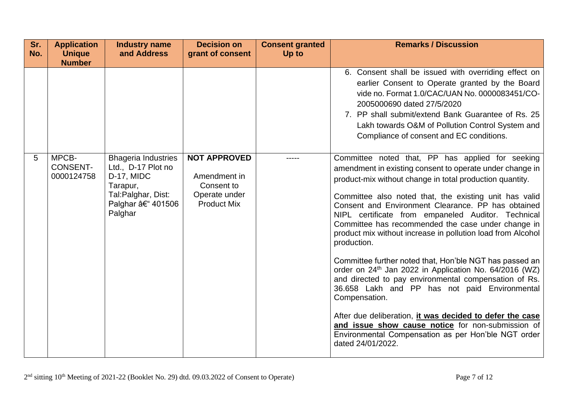| Sr. | <b>Application</b>                     | <b>Industry name</b>                                                                                                             | <b>Decision on</b>                                                                       | <b>Consent granted</b> | <b>Remarks / Discussion</b>                                                                                                                                                                                                                                                                                                                                                                                                                                                                                                                                                                                                                                                                                                                                                                                                                                                                                                                 |
|-----|----------------------------------------|----------------------------------------------------------------------------------------------------------------------------------|------------------------------------------------------------------------------------------|------------------------|---------------------------------------------------------------------------------------------------------------------------------------------------------------------------------------------------------------------------------------------------------------------------------------------------------------------------------------------------------------------------------------------------------------------------------------------------------------------------------------------------------------------------------------------------------------------------------------------------------------------------------------------------------------------------------------------------------------------------------------------------------------------------------------------------------------------------------------------------------------------------------------------------------------------------------------------|
| No. | <b>Unique</b><br><b>Number</b>         | and Address                                                                                                                      | grant of consent                                                                         | Up to                  |                                                                                                                                                                                                                                                                                                                                                                                                                                                                                                                                                                                                                                                                                                                                                                                                                                                                                                                                             |
|     |                                        |                                                                                                                                  |                                                                                          |                        | 6. Consent shall be issued with overriding effect on<br>earlier Consent to Operate granted by the Board<br>vide no. Format 1.0/CAC/UAN No. 0000083451/CO-<br>2005000690 dated 27/5/2020<br>7. PP shall submit/extend Bank Guarantee of Rs. 25<br>Lakh towards O&M of Pollution Control System and<br>Compliance of consent and EC conditions.                                                                                                                                                                                                                                                                                                                                                                                                                                                                                                                                                                                               |
| 5   | MPCB-<br><b>CONSENT-</b><br>0000124758 | <b>Bhageria Industries</b><br>Ltd., D-17 Plot no<br>D-17, MIDC<br>Tarapur,<br>Tal: Palghar, Dist:<br>Palghar – 401506<br>Palghar | <b>NOT APPROVED</b><br>Amendment in<br>Consent to<br>Operate under<br><b>Product Mix</b> |                        | Committee noted that, PP has applied for seeking<br>amendment in existing consent to operate under change in<br>product-mix without change in total production quantity.<br>Committee also noted that, the existing unit has valid<br>Consent and Environment Clearance. PP has obtained<br>NIPL certificate from empaneled Auditor. Technical<br>Committee has recommended the case under change in<br>product mix without increase in pollution load from Alcohol<br>production.<br>Committee further noted that, Hon'ble NGT has passed an<br>order on 24 <sup>th</sup> Jan 2022 in Application No. 64/2016 (WZ)<br>and directed to pay environmental compensation of Rs.<br>36.658 Lakh and PP has not paid Environmental<br>Compensation.<br>After due deliberation, it was decided to defer the case<br>and issue show cause notice for non-submission of<br>Environmental Compensation as per Hon'ble NGT order<br>dated 24/01/2022. |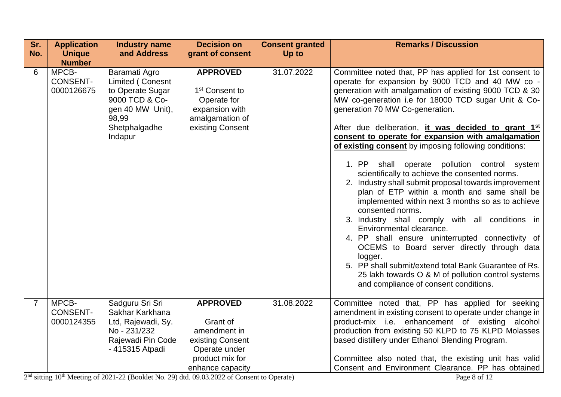| Sr.<br>No.     | <b>Application</b><br><b>Unique</b><br><b>Number</b> | <b>Industry name</b><br>and Address                                                                                              | <b>Decision on</b><br>grant of consent                                                                                  | <b>Consent granted</b><br>Up to | <b>Remarks / Discussion</b>                                                                                                                                                                                                                                                                                                                                                                                                                                                                                                                                                                                                                                                                                                                                                                                                                                                                                                                                                                                                                                                                   |
|----------------|------------------------------------------------------|----------------------------------------------------------------------------------------------------------------------------------|-------------------------------------------------------------------------------------------------------------------------|---------------------------------|-----------------------------------------------------------------------------------------------------------------------------------------------------------------------------------------------------------------------------------------------------------------------------------------------------------------------------------------------------------------------------------------------------------------------------------------------------------------------------------------------------------------------------------------------------------------------------------------------------------------------------------------------------------------------------------------------------------------------------------------------------------------------------------------------------------------------------------------------------------------------------------------------------------------------------------------------------------------------------------------------------------------------------------------------------------------------------------------------|
| 6              | MPCB-<br><b>CONSENT-</b><br>0000126675               | Baramati Agro<br>Limited (Conesnt<br>to Operate Sugar<br>9000 TCD & Co-<br>gen 40 MW Unit),<br>98,99<br>Shetphalgadhe<br>Indapur | <b>APPROVED</b><br>1 <sup>st</sup> Consent to<br>Operate for<br>expansion with<br>amalgamation of<br>existing Consent   | 31.07.2022                      | Committee noted that, PP has applied for 1st consent to<br>operate for expansion by 9000 TCD and 40 MW co -<br>generation with amalgamation of existing 9000 TCD & 30<br>MW co-generation i.e for 18000 TCD sugar Unit & Co-<br>generation 70 MW Co-generation.<br>After due deliberation, it was decided to grant 1 <sup>st</sup><br>consent to operate for expansion with amalgamation<br>of existing consent by imposing following conditions:<br>1. PP<br>shall operate pollution control system<br>scientifically to achieve the consented norms.<br>2. Industry shall submit proposal towards improvement<br>plan of ETP within a month and same shall be<br>implemented within next 3 months so as to achieve<br>consented norms.<br>3. Industry shall comply with all conditions in<br>Environmental clearance.<br>4. PP shall ensure uninterrupted connectivity of<br>OCEMS to Board server directly through data<br>logger.<br>5. PP shall submit/extend total Bank Guarantee of Rs.<br>25 lakh towards O & M of pollution control systems<br>and compliance of consent conditions. |
| $\overline{7}$ | MPCB-<br><b>CONSENT-</b><br>0000124355               | Sadguru Sri Sri<br>Sakhar Karkhana<br>Ltd, Rajewadi, Sy.<br>No - 231/232<br>Rajewadi Pin Code<br>- 415315 Atpadi                 | <b>APPROVED</b><br>Grant of<br>amendment in<br>existing Consent<br>Operate under<br>product mix for<br>enhance capacity | 31.08.2022                      | Committee noted that, PP has applied for seeking<br>amendment in existing consent to operate under change in<br>product-mix i.e. enhancement of existing alcohol<br>production from existing 50 KLPD to 75 KLPD Molasses<br>based distillery under Ethanol Blending Program.<br>Committee also noted that, the existing unit has valid<br>Consent and Environment Clearance. PP has obtained                                                                                                                                                                                                                                                                                                                                                                                                                                                                                                                                                                                                                                                                                                  |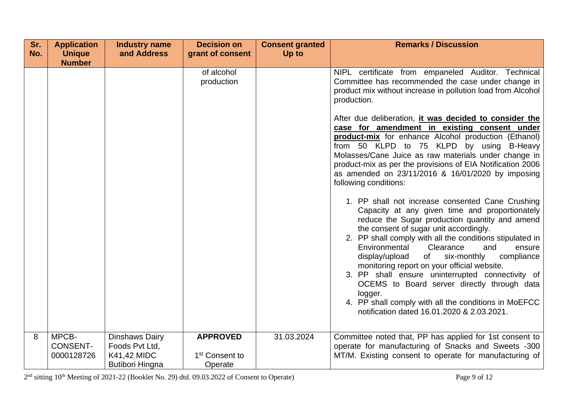| Sr. | <b>Application</b>                     | <b>Industry name</b>                                                                    | <b>Decision on</b>                                       | <b>Consent granted</b> | <b>Remarks / Discussion</b>                                                                                                                                                                                                                                                                                                                                                                                                                                                                                                                                                                                                                                                                                                                                             |
|-----|----------------------------------------|-----------------------------------------------------------------------------------------|----------------------------------------------------------|------------------------|-------------------------------------------------------------------------------------------------------------------------------------------------------------------------------------------------------------------------------------------------------------------------------------------------------------------------------------------------------------------------------------------------------------------------------------------------------------------------------------------------------------------------------------------------------------------------------------------------------------------------------------------------------------------------------------------------------------------------------------------------------------------------|
| No. | <b>Unique</b>                          | and Address                                                                             | grant of consent                                         | Up to                  |                                                                                                                                                                                                                                                                                                                                                                                                                                                                                                                                                                                                                                                                                                                                                                         |
|     | <b>Number</b>                          |                                                                                         | of alcohol<br>production                                 |                        | NIPL certificate from empaneled Auditor. Technical<br>Committee has recommended the case under change in<br>product mix without increase in pollution load from Alcohol<br>production.<br>After due deliberation, <i>it was decided to consider the</i><br>case for amendment in existing consent under<br>product-mix for enhance Alcohol production (Ethanol)<br>from 50 KLPD to 75 KLPD by using B-Heavy<br>Molasses/Cane Juice as raw materials under change in<br>product-mix as per the provisions of EIA Notification 2006<br>as amended on 23/11/2016 & 16/01/2020 by imposing<br>following conditions:<br>1. PP shall not increase consented Cane Crushing<br>Capacity at any given time and proportionately<br>reduce the Sugar production quantity and amend |
|     |                                        |                                                                                         |                                                          |                        | the consent of sugar unit accordingly.<br>2. PP shall comply with all the conditions stipulated in<br>Environmental<br>Clearance<br>ensure<br>and<br>six-monthly<br>compliance<br>display/upload<br>of<br>monitoring report on your official website.<br>3. PP shall ensure uninterrupted connectivity of<br>OCEMS to Board server directly through data<br>logger.<br>4. PP shall comply with all the conditions in MoEFCC<br>notification dated 16.01.2020 & 2.03.2021.                                                                                                                                                                                                                                                                                               |
| 8   | MPCB-<br><b>CONSENT-</b><br>0000128726 | <b>Dinshaws Dairy</b><br>Foods Pvt Ltd.<br><b>K41,42 MIDC</b><br><b>Butibori Hingna</b> | <b>APPROVED</b><br>1 <sup>st</sup> Consent to<br>Operate | 31.03.2024             | Committee noted that, PP has applied for 1st consent to<br>operate for manufacturing of Snacks and Sweets -300<br>MT/M. Existing consent to operate for manufacturing of                                                                                                                                                                                                                                                                                                                                                                                                                                                                                                                                                                                                |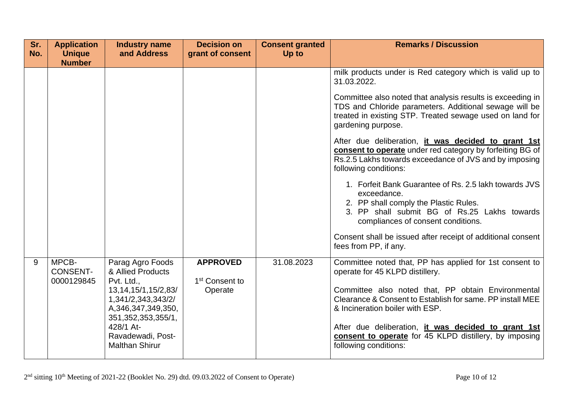| Sr.<br>No. | <b>Application</b><br><b>Unique</b><br><b>Number</b> | <b>Industry name</b><br>and Address                                                                                                                                                                                | <b>Decision on</b><br>grant of consent                   | <b>Consent granted</b><br>Up to | <b>Remarks / Discussion</b>                                                                                                                                                                                                                                                                                                                                                                                                                                                                                                                                                                                                                                                                                                                                                             |
|------------|------------------------------------------------------|--------------------------------------------------------------------------------------------------------------------------------------------------------------------------------------------------------------------|----------------------------------------------------------|---------------------------------|-----------------------------------------------------------------------------------------------------------------------------------------------------------------------------------------------------------------------------------------------------------------------------------------------------------------------------------------------------------------------------------------------------------------------------------------------------------------------------------------------------------------------------------------------------------------------------------------------------------------------------------------------------------------------------------------------------------------------------------------------------------------------------------------|
|            |                                                      |                                                                                                                                                                                                                    |                                                          |                                 | milk products under is Red category which is valid up to<br>31.03.2022.<br>Committee also noted that analysis results is exceeding in<br>TDS and Chloride parameters. Additional sewage will be<br>treated in existing STP. Treated sewage used on land for<br>gardening purpose.<br>After due deliberation, it was decided to grant 1st<br>consent to operate under red category by forfeiting BG of<br>Rs.2.5 Lakhs towards exceedance of JVS and by imposing<br>following conditions:<br>1. Forfeit Bank Guarantee of Rs. 2.5 lakh towards JVS<br>exceedance.<br>2. PP shall comply the Plastic Rules.<br>3. PP shall submit BG of Rs.25 Lakhs towards<br>compliances of consent conditions.<br>Consent shall be issued after receipt of additional consent<br>fees from PP, if any. |
| 9          | MPCB-<br><b>CONSENT-</b><br>0000129845               | Parag Agro Foods<br>& Allied Products<br>Pvt. Ltd.,<br>13, 14, 15/1, 15/2, 83/<br>1,341/2,343,343/2/<br>A, 346, 347, 349, 350,<br>351, 352, 353, 355/1,<br>428/1 At-<br>Ravadewadi, Post-<br><b>Malthan Shirur</b> | <b>APPROVED</b><br>1 <sup>st</sup> Consent to<br>Operate | 31.08.2023                      | Committee noted that, PP has applied for 1st consent to<br>operate for 45 KLPD distillery.<br>Committee also noted that, PP obtain Environmental<br>Clearance & Consent to Establish for same. PP install MEE<br>& Incineration boiler with ESP.<br>After due deliberation, it was decided to grant 1st<br>consent to operate for 45 KLPD distillery, by imposing<br>following conditions:                                                                                                                                                                                                                                                                                                                                                                                              |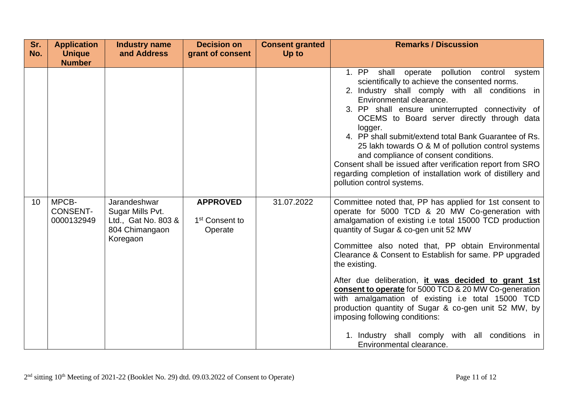| Sr.<br>No. | <b>Application</b><br><b>Unique</b><br><b>Number</b> | <b>Industry name</b><br>and Address                                                   | <b>Decision on</b><br>grant of consent                   | <b>Consent granted</b><br>Up to | <b>Remarks / Discussion</b>                                                                                                                                                                                                                                                                                                                                                                                                                                                                                                                                                                                                                                                                   |
|------------|------------------------------------------------------|---------------------------------------------------------------------------------------|----------------------------------------------------------|---------------------------------|-----------------------------------------------------------------------------------------------------------------------------------------------------------------------------------------------------------------------------------------------------------------------------------------------------------------------------------------------------------------------------------------------------------------------------------------------------------------------------------------------------------------------------------------------------------------------------------------------------------------------------------------------------------------------------------------------|
|            |                                                      |                                                                                       |                                                          |                                 | 1. PP<br>pollution control system<br>shall<br>operate<br>scientifically to achieve the consented norms.<br>2. Industry shall comply with all conditions in<br>Environmental clearance.<br>3. PP shall ensure uninterrupted connectivity of<br>OCEMS to Board server directly through data<br>logger.<br>4. PP shall submit/extend total Bank Guarantee of Rs.<br>25 lakh towards O & M of pollution control systems<br>and compliance of consent conditions.<br>Consent shall be issued after verification report from SRO<br>regarding completion of installation work of distillery and<br>pollution control systems.                                                                       |
| 10         | MPCB-<br><b>CONSENT-</b><br>0000132949               | Jarandeshwar<br>Sugar Mills Pvt.<br>Ltd., Gat No. 803 &<br>804 Chimangaon<br>Koregaon | <b>APPROVED</b><br>1 <sup>st</sup> Consent to<br>Operate | 31.07.2022                      | Committee noted that, PP has applied for 1st consent to<br>operate for 5000 TCD & 20 MW Co-generation with<br>amalgamation of existing i.e total 15000 TCD production<br>quantity of Sugar & co-gen unit 52 MW<br>Committee also noted that, PP obtain Environmental<br>Clearance & Consent to Establish for same. PP upgraded<br>the existing.<br>After due deliberation, it was decided to grant 1st<br>consent to operate for 5000 TCD & 20 MW Co-generation<br>with amalgamation of existing i.e total 15000 TCD<br>production quantity of Sugar & co-gen unit 52 MW, by<br>imposing following conditions:<br>1. Industry shall comply with all conditions in<br>Environmental clearance. |